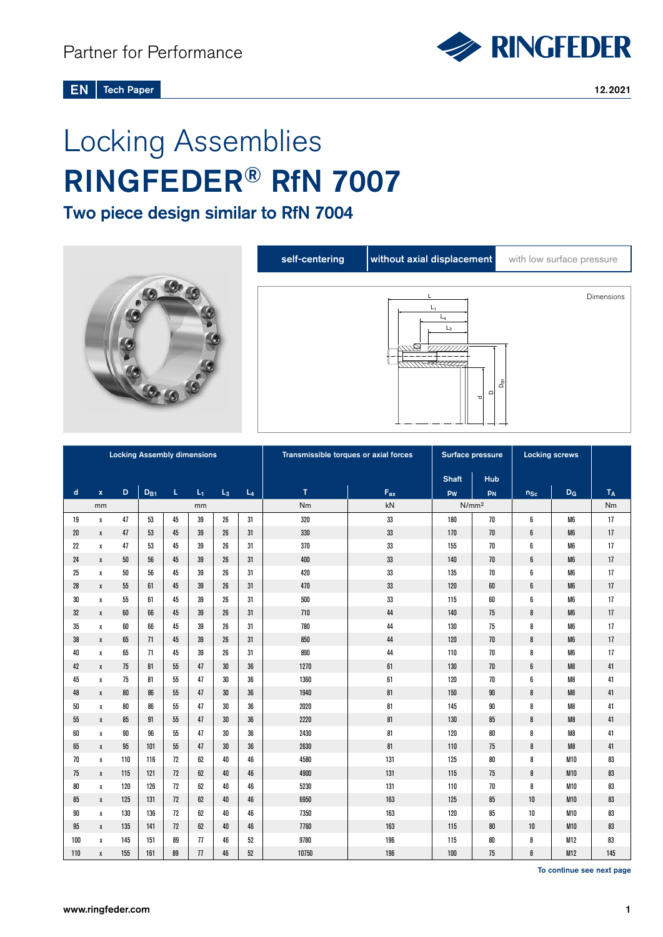

**Tech Paper** 12.2021 EN

# Locking Assemblies RINGFEDER® RfN 7007

Two piece design similar to RfN 7004





| <b>Locking Assembly dimensions</b> |                    |        |          |              |       |       |       | Transmissible torques or axial forces | Surface pressure |                   | <b>Locking screws</b> |          |                |                |
|------------------------------------|--------------------|--------|----------|--------------|-------|-------|-------|---------------------------------------|------------------|-------------------|-----------------------|----------|----------------|----------------|
|                                    |                    |        |          | <b>Shaft</b> | Hub   |       |       |                                       |                  |                   |                       |          |                |                |
| d                                  | $\pmb{\mathsf{x}}$ | D      | $D_{B1}$ | L.           | $L_1$ | $L_3$ | $L_4$ | T                                     | $F_{ax}$         | pw                | PN                    | $n_{Sc}$ | D <sub>G</sub> | T <sub>A</sub> |
|                                    | mm                 |        | mm       |              |       |       |       | Nm                                    | kN               | N/mm <sup>2</sup> |                       |          |                | Nm             |
| 19                                 | x                  | 47     | 53       | 45           | 39    | 26    | 31    | 320                                   | 33               | 180               | 70                    | 6        | M <sub>6</sub> | 17             |
| 20                                 | $\pmb{\mathsf{X}}$ | 47     | 53       | 45           | 39    | 26    | 31    | 330                                   | 33               | 170               | 70                    | 6        | M <sub>6</sub> | 17             |
| 22                                 | X                  | 47     | 53       | 45           | 39    | 26    | 31    | 370                                   | 33               | 155               | 70                    | 6        | M6             | 17             |
| 24                                 | X                  | $50\,$ | 56       | 45           | 39    | 26    | 31    | 400                                   | 33               | 140               | 70                    | 6        | M <sub>6</sub> | 17             |
| 25                                 | $\pmb{\chi}$       | $50\,$ | 56       | 45           | 39    | 26    | 31    | 420                                   | 33               | 135               | 70                    | 6        | M <sub>6</sub> | 17             |
| 28                                 | $\pmb{\mathsf{X}}$ | 55     | 61       | 45           | 39    | 26    | 31    | 470                                   | 33               | 120               | 60                    | 6        | M <sub>6</sub> | 17             |
| 30                                 | $\pmb{\chi}$       | 55     | 61       | 45           | 39    | 26    | 31    | 500                                   | 33               | 115               | 60                    | 6        | M6             | 17             |
| 32                                 | $\pmb{\mathsf{X}}$ | 60     | 66       | 45           | 39    | 26    | 31    | 710                                   | 44               | 140               | 75                    | 8        | M <sub>6</sub> | 17             |
| 35                                 | X                  | 60     | 66       | 45           | 39    | 26    | 31    | 780                                   | 44               | 130               | 75                    | 8        | M <sub>6</sub> | 17             |
| 38                                 | χ                  | 65     | 71       | 45           | 39    | 26    | 31    | 850                                   | 44               | 120               | 70                    | 8        | M <sub>6</sub> | 17             |
| 40                                 | $\pmb{\chi}$       | 65     | 71       | 45           | 39    | 26    | 31    | 890                                   | 44               | 110               | 70                    | 8        | M <sub>6</sub> | 17             |
| 42                                 | χ                  | 75     | 81       | 55           | 47    | 30    | 36    | 1270                                  | 61               | 130               | 70                    | 6        | M8             | 41             |
| 45                                 | X                  | 75     | 81       | 55           | 47    | 30    | 36    | 1360                                  | 61               | 120               | 70                    | 6        | M8             | 41             |
| 48                                 | X                  | 80     | 86       | 55           | 47    | 30    | 36    | 1940                                  | 81               | 150               | 90                    | 8        | M8             | 41             |
| 50                                 | X                  | 80     | 86       | 55           | 47    | 30    | 36    | 2020                                  | 81               | 145               | 90                    | 8        | M8             | 41             |
| 55                                 | χ                  | 85     | 91       | 55           | 47    | 30    | 36    | 2220                                  | 81               | 130               | 85                    | 8        | M8             | 41             |
| 60                                 | $\pmb{\chi}$       | 90     | 96       | 55           | 47    | 30    | 36    | 2430                                  | 81               | 120               | 80                    | 8        | M8             | 41             |
| 65                                 | χ                  | 95     | 101      | 55           | 47    | 30    | 36    | 2630                                  | 81               | 110               | 75                    | 8        | M8             | 41             |
| 70                                 | x                  | 110    | 116      | 72           | 62    | 40    | 46    | 4580                                  | 131              | 125               | 80                    | 8        | <b>M10</b>     | 83             |
| 75                                 | χ                  | 115    | 121      | 72           | 62    | 40    | 46    | 4900                                  | 131              | 115               | 75                    | 8        | <b>M10</b>     | 83             |
| 80                                 | х                  | 120    | 126      | 72           | 62    | 40    | 46    | 5230                                  | 131              | 110               | 70                    | 8        | <b>M10</b>     | 83             |
| 85                                 | x                  | 125    | 131      | 72           | 62    | 40    | 46    | 6950                                  | 163              | 125               | 85                    | 10       | <b>M10</b>     | 83             |
| 90                                 | х                  | 130    | 136      | 72           | 62    | 40    | 46    | 7350                                  | 163              | 120               | 85                    | 10       | <b>M10</b>     | 83             |
| 95                                 | x                  | 135    | 141      | 72           | 62    | 40    | 46    | 7760                                  | 163              | 115               | 80                    | 10       | <b>M10</b>     | 83             |
| 100                                | x                  | 145    | 151      | 89           | 77    | 46    | 52    | 9780                                  | 196              | 115               | 80                    | 8        | M12            | 83             |
| 110                                | X                  | 155    | 161      | 89           | 77    | 46    | 52    | 10750                                 | 196              | 100               | 75                    | 8        | M12            | 145            |

To continue see next page